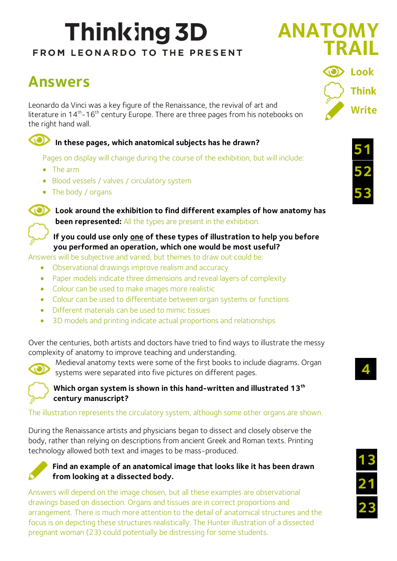# **Thinking 3D** FROM LEONARDO TO THE PRESENT

# **Answers**

Leonardo da Vinci was a key figure of the Renaissance, the revival of art and literature in  $14^{th}$ - $16^{th}$  century Europe. There are three pages from his notebooks on the right hand wall.

## In these pages, which anatomical subjects has he drawn?

Pages on display will change during the course of the exhibition, but will include:

- The arm
- Blood vessels / valves / circulatory system
- The body / organs



**Look around the exhibition to find different examples of how anatomy has been represented:** All the types are present in the exhibition.

#### **If you could use only one of these types of illustration to help you before you performed an operation, which one would be most useful?**

Answers will be subjective and varied, but themes to draw out could be:

- Observational drawings improve realism and accuracy
- Paper models indicate three dimensions and reveal layers of complexity
- Colour can be used to make images more realistic
- Colour can be used to differentiate between organ systems or functions
- Different materials can be used to mimic tissues
- 3D models and printing indicate actual proportions and relationships

Over the centuries, both artists and doctors have tried to find ways to illustrate the messy complexity of anatomy to improve teaching and understanding.



Medieval anatomy texts were some of the first books to include diagrams. Organ systems were separated into five pictures on different pages.

**Which organ system is shown in this hand-written and illustrated 13th century manuscript?**

#### The illustration represents the circulatory system, although some other organs are shown.

During the Renaissance artists and physicians began to dissect and closely observe the body, rather than relying on descriptions from ancient Greek and Roman texts. Printing technology allowed both text and images to be mass-produced.



#### **Find an example of an anatomical image that looks like it has been drawn from looking at a dissected body.**

Answers will depend on the image chosen, but all these examples are observational drawings based on dissection. Organs and tissues are in correct proportions and arrangement. There is much more attention to the detail of anatomical structures and the focus is on depicting these structures realistically. The Hunter illustration of a dissected pregnant woman (23) could potentially be distressing for some students.



**ANATOMY**





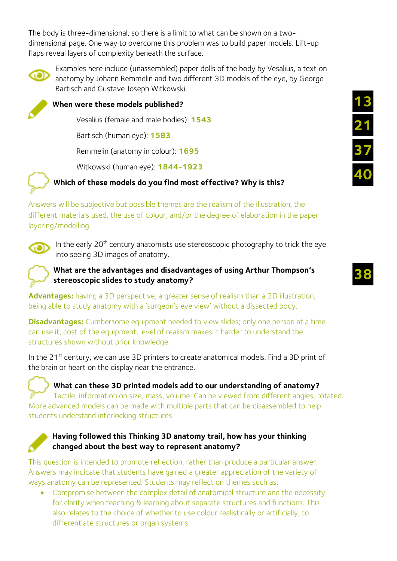The body is three-dimensional, so there is a limit to what can be shown on a twodimensional page. One way to overcome this problem was to build paper models. Lift-up flaps reveal layers of complexity beneath the surface.



Examples here include (unassembled) paper dolls of the body by Vesalius, a text on anatomy by Johann Remmelin and two different 3D models of the eye, by George Bartisch and Gustave Joseph Witkowski.



### **When were these models published?**

Vesalius (female and male bodies): **1543**

Bartisch (human eye): **1583**

Remmelin (anatomy in colour): **1695**

Witkowski (human eye): **1844-1923**



### **Which of these models do you find most effective? Why is this?**

Answers will be subjective but possible themes are the realism of the illustration, the different materials used, the use of colour, and/or the degree of elaboration in the paper layering/modelling.



In the early  $20<sup>th</sup>$  century anatomists use stereoscopic photography to trick the eye into seeing 3D images of anatomy.



**Advantages:** having a 3D perspective; a greater sense of realism than a 2D illustration; being able to study anatomy with a 'surgeon's eye view' without a dissected body.

**Disadvantages:** Cumbersome equipment needed to view slides; only one person at a time can use it, cost of the equipment, level of realism makes it harder to understand the structures shown without prior knowledge.

In the 21<sup>st</sup> century, we can use 3D printers to create anatomical models. Find a 3D print of the brain or heart on the display near the entrance.

**What can these 3D printed models add to our understanding of anatomy?** Tactile, information on size, mass, volume. Can be viewed from different angles, rotated. More advanced models can be made with multiple parts that can be disassembled to help students understand interlocking structures.



#### **Having followed this Thinking 3D anatomy trail, how has your thinking changed about the best way to represent anatomy?**

This question is intended to promote reflection, rather than produce a particular answer. Answers may indicate that students have gained a greater appreciation of the variety of ways anatomy can be represented. Students may reflect on themes such as:

 Compromise between the complex detail of anatomical structure and the necessity for clarity when teaching & learning about separate structures and functions. This also relates to the choice of whether to use colour realistically or artificially, to differentiate structures or organ systems.

**38**